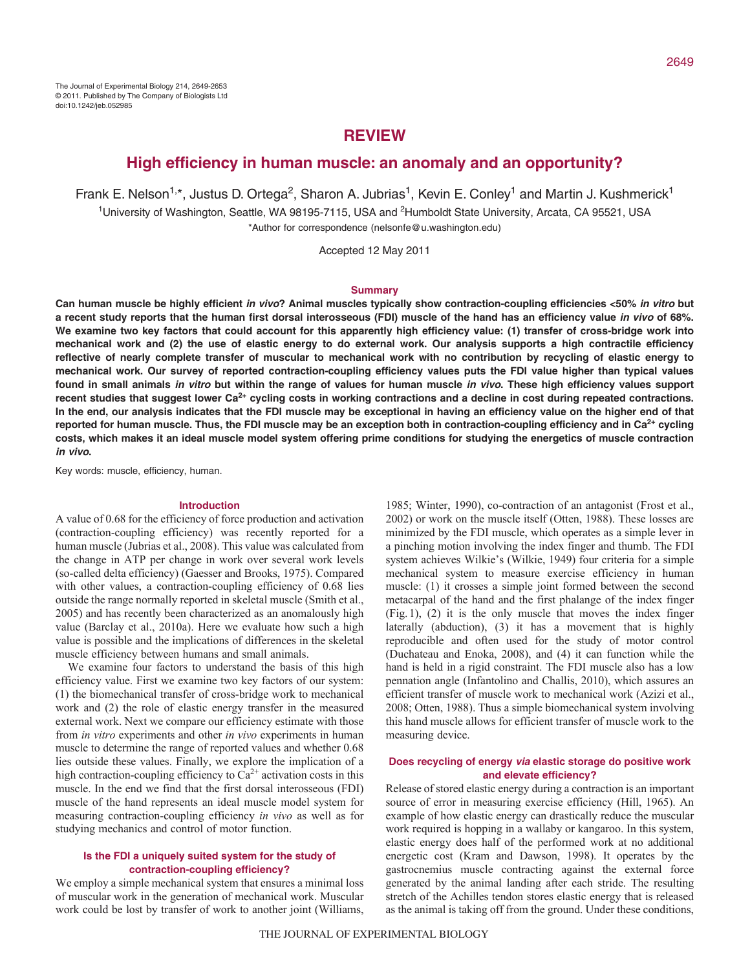# **REVIEW**

## **High efficiency in human muscle: an anomaly and an opportunity?**

Frank E. Nelson<sup>1,\*</sup>, Justus D. Ortega<sup>2</sup>, Sharon A. Jubrias<sup>1</sup>, Kevin E. Conley<sup>1</sup> and Martin J. Kushmerick<sup>1</sup> <sup>1</sup>University of Washington, Seattle, WA 98195-7115, USA and <sup>2</sup>Humboldt State University, Arcata, CA 95521, USA \*Author for correspondence (nelsonfe@u.washington.edu)

Accepted 12 May 2011

#### **Summary**

**Can human muscle be highly efficient in vivo? Animal muscles typically show contraction-coupling efficiencies <50% in vitro but a recent study reports that the human first dorsal interosseous (FDI) muscle of the hand has an efficiency value in vivo of 68%. We examine two key factors that could account for this apparently high efficiency value: (1) transfer of cross-bridge work into mechanical work and (2) the use of elastic energy to do external work. Our analysis supports a high contractile efficiency reflective of nearly complete transfer of muscular to mechanical work with no contribution by recycling of elastic energy to mechanical work. Our survey of reported contraction-coupling efficiency values puts the FDI value higher than typical values found in small animals in vitro but within the range of values for human muscle in vivo. These high efficiency values support** recent studies that suggest lower Ca<sup>2+</sup> cycling costs in working contractions and a decline in cost during repeated contractions. **In the end, our analysis indicates that the FDI muscle may be exceptional in having an efficiency value on the higher end of that reported for human muscle. Thus, the FDI muscle may be an exception both in contraction-coupling efficiency and in Ca2+ cycling costs, which makes it an ideal muscle model system offering prime conditions for studying the energetics of muscle contraction in vivo.**

Key words: muscle, efficiency, human.

#### **Introduction**

A value of 0.68 for the efficiency of force production and activation (contraction-coupling efficiency) was recently reported for a human muscle (Jubrias et al., 2008). This value was calculated from the change in ATP per change in work over several work levels (so-called delta efficiency) (Gaesser and Brooks, 1975). Compared with other values, a contraction-coupling efficiency of 0.68 lies outside the range normally reported in skeletal muscle (Smith et al., 2005) and has recently been characterized as an anomalously high value (Barclay et al., 2010a). Here we evaluate how such a high value is possible and the implications of differences in the skeletal muscle efficiency between humans and small animals.

We examine four factors to understand the basis of this high efficiency value. First we examine two key factors of our system: (1) the biomechanical transfer of cross-bridge work to mechanical work and (2) the role of elastic energy transfer in the measured external work. Next we compare our efficiency estimate with those from *in vitro* experiments and other *in vivo* experiments in human muscle to determine the range of reported values and whether 0.68 lies outside these values. Finally, we explore the implication of a high contraction-coupling efficiency to  $\text{Ca}^{2+}$  activation costs in this muscle. In the end we find that the first dorsal interosseous (FDI) muscle of the hand represents an ideal muscle model system for measuring contraction-coupling efficiency *in vivo* as well as for studying mechanics and control of motor function.

## **Is the FDI a uniquely suited system for the study of contraction-coupling efficiency?**

We employ a simple mechanical system that ensures a minimal loss of muscular work in the generation of mechanical work. Muscular work could be lost by transfer of work to another joint (Williams,

1985; Winter, 1990), co-contraction of an antagonist (Frost et al., 2002) or work on the muscle itself (Otten, 1988). These losses are minimized by the FDI muscle, which operates as a simple lever in a pinching motion involving the index finger and thumb. The FDI system achieves Wilkie's (Wilkie, 1949) four criteria for a simple mechanical system to measure exercise efficiency in human muscle: (1) it crosses a simple joint formed between the second metacarpal of the hand and the first phalange of the index finger (Fig.1), (2) it is the only muscle that moves the index finger laterally (abduction), (3) it has a movement that is highly reproducible and often used for the study of motor control (Duchateau and Enoka, 2008), and (4) it can function while the hand is held in a rigid constraint. The FDI muscle also has a low pennation angle (Infantolino and Challis, 2010), which assures an efficient transfer of muscle work to mechanical work (Azizi et al., 2008; Otten, 1988). Thus a simple biomechanical system involving this hand muscle allows for efficient transfer of muscle work to the measuring device.

### **Does recycling of energy via elastic storage do positive work and elevate efficiency?**

Release of stored elastic energy during a contraction is an important source of error in measuring exercise efficiency (Hill, 1965). An example of how elastic energy can drastically reduce the muscular work required is hopping in a wallaby or kangaroo. In this system, elastic energy does half of the performed work at no additional energetic cost (Kram and Dawson, 1998). It operates by the gastrocnemius muscle contracting against the external force generated by the animal landing after each stride. The resulting stretch of the Achilles tendon stores elastic energy that is released as the animal is taking off from the ground. Under these conditions,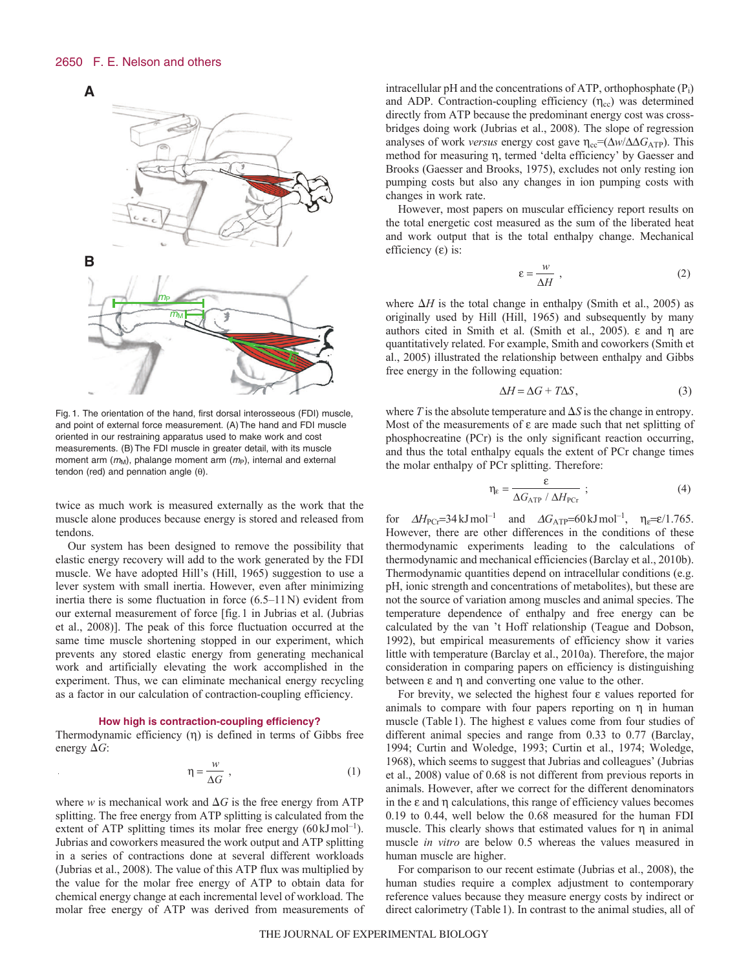

Fig. 1. The orientation of the hand, first dorsal interosseous (FDI) muscle, and point of external force measurement. (A)The hand and FDI muscle oriented in our restraining apparatus used to make work and cost measurements. (B)The FDI muscle in greater detail, with its muscle moment arm  $(m_M)$ , phalange moment arm  $(m_P)$ , internal and external tendon (red) and pennation angle  $(\theta)$ .

twice as much work is measured externally as the work that the muscle alone produces because energy is stored and released from tendons.

Our system has been designed to remove the possibility that elastic energy recovery will add to the work generated by the FDI muscle. We have adopted Hill's (Hill, 1965) suggestion to use a lever system with small inertia. However, even after minimizing inertia there is some fluctuation in force (6.5–11N) evident from our external measurement of force [fig.1 in Jubrias et al. (Jubrias et al., 2008)]. The peak of this force fluctuation occurred at the same time muscle shortening stopped in our experiment, which prevents any stored elastic energy from generating mechanical work and artificially elevating the work accomplished in the experiment. Thus, we can eliminate mechanical energy recycling as a factor in our calculation of contraction-coupling efficiency.

### **How high is contraction-coupling efficiency?**

Thermodynamic efficiency  $(\eta)$  is defined in terms of Gibbs free energy  $\Delta G$ :

$$
\eta = \frac{w}{\Delta G} \tag{1}
$$

where *w* is mechanical work and  $\Delta G$  is the free energy from ATP splitting. The free energy from ATP splitting is calculated from the extent of ATP splitting times its molar free energy  $(60 \text{ kJ} \text{mol}^{-1})$ . Jubrias and coworkers measured the work output and ATP splitting in a series of contractions done at several different workloads (Jubrias et al., 2008). The value of this ATP flux was multiplied by the value for the molar free energy of ATP to obtain data for chemical energy change at each incremental level of workload. The molar free energy of ATP was derived from measurements of intracellular pH and the concentrations of ATP, orthophosphate  $(P_i)$ and ADP. Contraction-coupling efficiency  $(\eta_{cc})$  was determined directly from ATP because the predominant energy cost was crossbridges doing work (Jubrias et al., 2008). The slope of regression analyses of work *versus* energy cost gave  $\eta_{cc} = (\Delta w / \Delta G_{ATP})$ . This method for measuring  $\eta$ , termed 'delta efficiency' by Gaesser and Brooks (Gaesser and Brooks, 1975), excludes not only resting ion pumping costs but also any changes in ion pumping costs with changes in work rate.

However, most papers on muscular efficiency report results on the total energetic cost measured as the sum of the liberated heat and work output that is the total enthalpy change. Mechanical efficiency  $(\varepsilon)$  is:

$$
\varepsilon = \frac{w}{\Delta H} \tag{2}
$$

where  $\Delta H$  is the total change in enthalpy (Smith et al., 2005) as originally used by Hill (Hill, 1965) and subsequently by many authors cited in Smith et al. (Smith et al., 2005).  $\varepsilon$  and  $\eta$  are quantitatively related. For example, Smith and coworkers (Smith et al., 2005) illustrated the relationship between enthalpy and Gibbs free energy in the following equation:

$$
\Delta H = \Delta G + T \Delta S, \tag{3}
$$

where  $T$  is the absolute temperature and  $\Delta S$  is the change in entropy. Most of the measurements of  $\varepsilon$  are made such that net splitting of phosphocreatine (PCr) is the only significant reaction occurring, and thus the total enthalpy equals the extent of PCr change times the molar enthalpy of PCr splitting. Therefore:

$$
\eta_{\varepsilon} = \frac{\varepsilon}{\Delta G_{\text{ATP}} / \Delta H_{\text{PCr}}};
$$
\n(4)

for  $\Delta H_{\text{PC}}=34 \text{ kJ} \text{ mol}^{-1}$  and  $\Delta G_{\text{ATP}}=60 \text{ kJ} \text{ mol}^{-1}$ ,  $\eta_{\varepsilon}=\varepsilon/1.765$ . However, there are other differences in the conditions of these thermodynamic experiments leading to the calculations of thermodynamic and mechanical efficiencies (Barclay et al., 2010b). Thermodynamic quantities depend on intracellular conditions (e.g. pH, ionic strength and concentrations of metabolites), but these are not the source of variation among muscles and animal species. The temperature dependence of enthalpy and free energy can be calculated by the van 't Hoff relationship (Teague and Dobson, 1992), but empirical measurements of efficiency show it varies little with temperature (Barclay et al., 2010a). Therefore, the major consideration in comparing papers on efficiency is distinguishing between  $\varepsilon$  and  $\eta$  and converting one value to the other.

For brevity, we selected the highest four  $\varepsilon$  values reported for animals to compare with four papers reporting on  $\eta$  in human muscle (Table 1). The highest  $\varepsilon$  values come from four studies of different animal species and range from 0.33 to 0.77 (Barclay, 1994; Curtin and Woledge, 1993; Curtin et al., 1974; Woledge, 1968), which seems to suggest that Jubrias and colleagues' (Jubrias et al., 2008) value of 0.68 is not different from previous reports in animals. However, after we correct for the different denominators in the  $\varepsilon$  and  $\eta$  calculations, this range of efficiency values becomes 0.19 to 0.44, well below the 0.68 measured for the human FDI muscle. This clearly shows that estimated values for  $\eta$  in animal muscle *in vitro* are below 0.5 whereas the values measured in human muscle are higher.

For comparison to our recent estimate (Jubrias et al., 2008), the human studies require a complex adjustment to contemporary reference values because they measure energy costs by indirect or direct calorimetry (Table1). In contrast to the animal studies, all of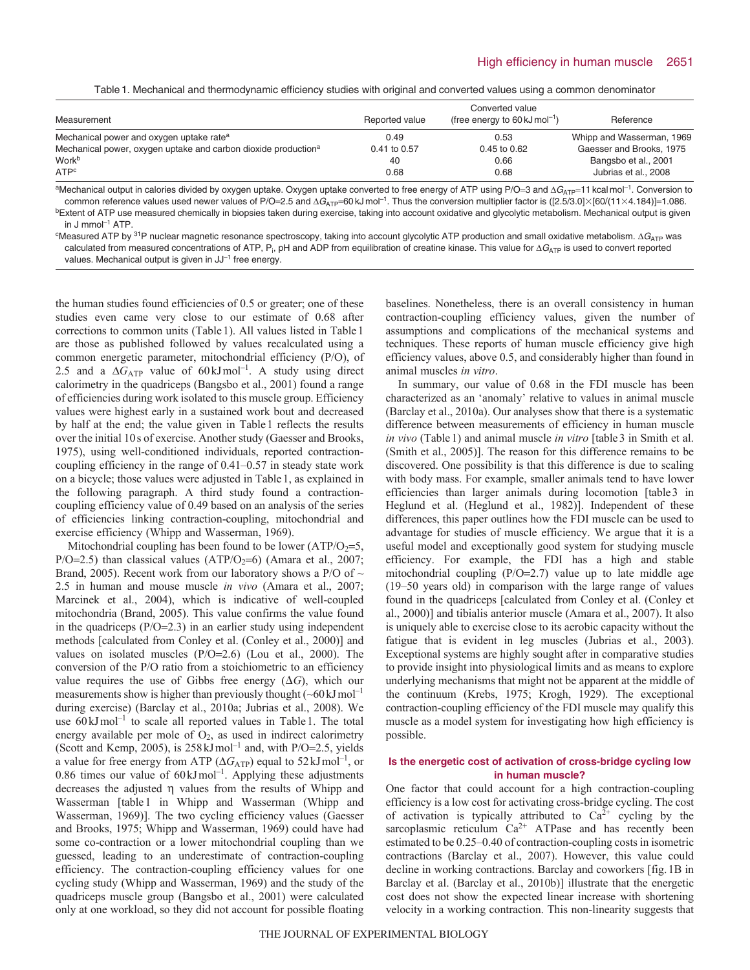Table1. Mechanical and thermodynamic efficiency studies with original and converted values using a common denominator

| Measurement                                                                | Reported value | Converted value<br>(free energy to 60 kJ mol <sup>-1</sup> ) | Reference                 |
|----------------------------------------------------------------------------|----------------|--------------------------------------------------------------|---------------------------|
| Mechanical power and oxygen uptake rate <sup>a</sup>                       | 0.49           | 0.53                                                         | Whipp and Wasserman, 1969 |
| Mechanical power, oxygen uptake and carbon dioxide production <sup>a</sup> | 0.41 to 0.57   | $0.45$ to $0.62$                                             | Gaesser and Brooks, 1975  |
| Work <sup>b</sup>                                                          | 40             | 0.66                                                         | Bangsbo et al., 2001      |
| ATP <sup>c</sup>                                                           | 0.68           | 0.68                                                         | Jubrias et al., 2008      |

<sup>a</sup>Mechanical output in calories divided by oxygen uptake. Oxygen uptake converted to free energy of ATP using P/O=3 and  $\Delta G_{ATP}$ =11 kcal mol<sup>-1</sup>. Conversion to common reference values used newer values of P/O=2.5 and  $\Delta G_{ATP}$ =60 kJ mol<sup>-1</sup>. Thus the conversion multiplier factor is ([2.5/3.0]×[60/(11×4.184)]=1.086. <sup>b</sup>Extent of ATP use measured chemically in biopsies taken during exercise, taking into account oxidative and glycolytic metabolism. Mechanical output is given in J mmol $^{-1}$  ATP.

 $\,^{\rm c}$ Measured ATP by  $\,^{\rm 31}$ P nuclear magnetic resonance spectroscopy, taking into account glycolytic ATP production and small oxidative metabolism.  $\Delta G_{\rm ATP}$  was calculated from measured concentrations of ATP, P<sub>i</sub>, pH and ADP from equilibration of creatine kinase. This value for  $\Delta G_{\rm ATP}$  is used to convert reported values. Mechanical output is given in JJ<sup>-1</sup> free energy.

the human studies found efficiencies of 0.5 or greater; one of these studies even came very close to our estimate of 0.68 after corrections to common units (Table1). All values listed in Table1 are those as published followed by values recalculated using a common energetic parameter, mitochondrial efficiency (P/O), of 2.5 and a  $\Delta G_{ATP}$  value of 60 kJmol<sup>-1</sup>. A study using direct calorimetry in the quadriceps (Bangsbo et al., 2001) found a range of efficiencies during work isolated to this muscle group. Efficiency values were highest early in a sustained work bout and decreased by half at the end; the value given in Table1 reflects the results over the initial 10s of exercise. Another study (Gaesser and Brooks, 1975), using well-conditioned individuals, reported contractioncoupling efficiency in the range of 0.41–0.57 in steady state work on a bicycle; those values were adjusted in Table1, as explained in the following paragraph. A third study found a contractioncoupling efficiency value of 0.49 based on an analysis of the series of efficiencies linking contraction-coupling, mitochondrial and exercise efficiency (Whipp and Wasserman, 1969).

Mitochondrial coupling has been found to be lower  $(ATP/O<sub>2</sub>=5,$  $P/O=2.5$ ) than classical values (ATP/O<sub>2</sub>=6) (Amara et al., 2007; Brand, 2005). Recent work from our laboratory shows a P/O of  $\sim$ 2.5 in human and mouse muscle *in vivo* (Amara et al., 2007; Marcinek et al., 2004), which is indicative of well-coupled mitochondria (Brand, 2005). This value confirms the value found in the quadriceps  $(P/O=2.3)$  in an earlier study using independent methods [calculated from Conley et al. (Conley et al., 2000)] and values on isolated muscles  $(P/O=2.6)$  (Lou et al., 2000). The conversion of the P/O ratio from a stoichiometric to an efficiency value requires the use of Gibbs free energy  $(\Delta G)$ , which our measurements show is higher than previously thought  $({\sim}60 \text{ kJ} \text{ mol}^{-1}$ during exercise) (Barclay et al., 2010a; Jubrias et al., 2008). We use  $60 \text{ kJ} \text{mol}^{-1}$  to scale all reported values in Table 1. The total energy available per mole of  $O_2$ , as used in indirect calorimetry (Scott and Kemp, 2005), is  $258 \text{ kJ} \text{mol}^{-1}$  and, with P/O=2.5, yields a value for free energy from ATP ( $\Delta G_{ATP}$ ) equal to 52 kJ mol<sup>-1</sup>, or 0.86 times our value of  $60 \text{ kJ} \text{mol}^{-1}$ . Applying these adjustments decreases the adjusted  $\eta$  values from the results of Whipp and Wasserman [table1 in Whipp and Wasserman (Whipp and Wasserman, 1969)]. The two cycling efficiency values (Gaesser and Brooks, 1975; Whipp and Wasserman, 1969) could have had some co-contraction or a lower mitochondrial coupling than we guessed, leading to an underestimate of contraction-coupling efficiency. The contraction-coupling efficiency values for one cycling study (Whipp and Wasserman, 1969) and the study of the quadriceps muscle group (Bangsbo et al., 2001) were calculated only at one workload, so they did not account for possible floating baselines. Nonetheless, there is an overall consistency in human contraction-coupling efficiency values, given the number of assumptions and complications of the mechanical systems and techniques. These reports of human muscle efficiency give high efficiency values, above 0.5, and considerably higher than found in animal muscles *in vitro*.

In summary, our value of 0.68 in the FDI muscle has been characterized as an 'anomaly' relative to values in animal muscle (Barclay et al., 2010a). Our analyses show that there is a systematic difference between measurements of efficiency in human muscle *in vivo* (Table1) and animal muscle *in vitro* [table3 in Smith et al. (Smith et al., 2005)]. The reason for this difference remains to be discovered. One possibility is that this difference is due to scaling with body mass. For example, smaller animals tend to have lower efficiencies than larger animals during locomotion [table3 in Heglund et al. (Heglund et al., 1982)]. Independent of these differences, this paper outlines how the FDI muscle can be used to advantage for studies of muscle efficiency. We argue that it is a useful model and exceptionally good system for studying muscle efficiency. For example, the FDI has a high and stable mitochondrial coupling  $(P/O=2.7)$  value up to late middle age (19–50 years old) in comparison with the large range of values found in the quadriceps [calculated from Conley et al. (Conley et al., 2000)] and tibialis anterior muscle (Amara et al., 2007). It also is uniquely able to exercise close to its aerobic capacity without the fatigue that is evident in leg muscles (Jubrias et al., 2003). Exceptional systems are highly sought after in comparative studies to provide insight into physiological limits and as means to explore underlying mechanisms that might not be apparent at the middle of the continuum (Krebs, 1975; Krogh, 1929). The exceptional contraction-coupling efficiency of the FDI muscle may qualify this muscle as a model system for investigating how high efficiency is possible.

### **Is the energetic cost of activation of cross-bridge cycling low in human muscle?**

One factor that could account for a high contraction-coupling efficiency is a low cost for activating cross-bridge cycling. The cost of activation is typically attributed to  $Ca^{2+}$  cycling by the sarcoplasmic reticulum  $Ca^{2+}$  ATPase and has recently been estimated to be 0.25–0.40 of contraction-coupling costs in isometric contractions (Barclay et al., 2007). However, this value could decline in working contractions. Barclay and coworkers [fig.1B in Barclay et al. (Barclay et al., 2010b)] illustrate that the energetic cost does not show the expected linear increase with shortening velocity in a working contraction. This non-linearity suggests that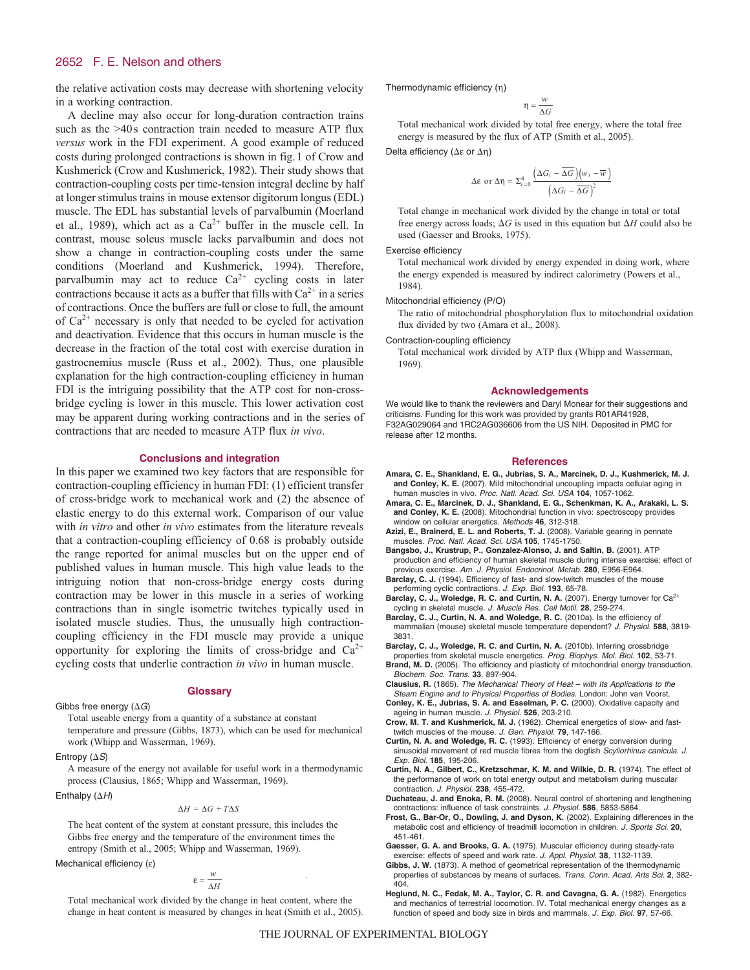#### 2652 F. E. Nelson and others

the relative activation costs may decrease with shortening velocity in a working contraction.

A decline may also occur for long-duration contraction trains such as the >40s contraction train needed to measure ATP flux *versus* work in the FDI experiment. A good example of reduced costs during prolonged contractions is shown in fig.1 of Crow and Kushmerick (Crow and Kushmerick, 1982). Their study shows that contraction-coupling costs per time-tension integral decline by half at longer stimulus trains in mouse extensor digitorum longus (EDL) muscle. The EDL has substantial levels of parvalbumin (Moerland et al., 1989), which act as a  $Ca^{2+}$  buffer in the muscle cell. In contrast, mouse soleus muscle lacks parvalbumin and does not show a change in contraction-coupling costs under the same conditions (Moerland and Kushmerick, 1994). Therefore, parvalbumin may act to reduce  $Ca^{2+}$  cycling costs in later contractions because it acts as a buffer that fills with  $Ca^{2+}$  in a series of contractions. Once the buffers are full or close to full, the amount of  $Ca<sup>2+</sup>$  necessary is only that needed to be cycled for activation and deactivation. Evidence that this occurs in human muscle is the decrease in the fraction of the total cost with exercise duration in gastrocnemius muscle (Russ et al., 2002). Thus, one plausible explanation for the high contraction-coupling efficiency in human FDI is the intriguing possibility that the ATP cost for non-crossbridge cycling is lower in this muscle. This lower activation cost may be apparent during working contractions and in the series of contractions that are needed to measure ATP flux *in vivo*.

#### **Conclusions and integration**

In this paper we examined two key factors that are responsible for contraction-coupling efficiency in human FDI: (1) efficient transfer of cross-bridge work to mechanical work and (2) the absence of elastic energy to do this external work. Comparison of our value with *in vitro* and other *in vivo* estimates from the literature reveals that a contraction-coupling efficiency of 0.68 is probably outside the range reported for animal muscles but on the upper end of published values in human muscle. This high value leads to the intriguing notion that non-cross-bridge energy costs during contraction may be lower in this muscle in a series of working contractions than in single isometric twitches typically used in isolated muscle studies. Thus, the unusually high contractioncoupling efficiency in the FDI muscle may provide a unique opportunity for exploring the limits of cross-bridge and  $Ca^{2+}$ cycling costs that underlie contraction *in vivo* in human muscle.

Gibbs free energy  $(\Delta G)$ Total useable energy from a quantity of a substance at constant temperature and pressure (Gibbs, 1873), which can be used for mechanical work (Whipp and Wasserman, 1969).

**Glossary**

Entropy  $(\Delta S)$ 

A measure of the energy not available for useful work in a thermodynamic process (Clausius, 1865; Whipp and Wasserman, 1969).

Enthalpy  $(\Delta H)$ 

### Δ*H* = Δ*G* + *T*Δ*S*

The heat content of the system at constant pressure, this includes the Gibbs free energy and the temperature of the environment times the entropy (Smith et al., 2005; Whipp and Wasserman, 1969).

Mechanical efficiency  $(\epsilon)$ 

$$
\varepsilon = \frac{w}{\Delta H}
$$

Total mechanical work divided by the change in heat content, where the change in heat content is measured by changes in heat (Smith et al., 2005). Thermodynamic efficiency (n)

$$
\eta = \frac{w}{\Delta G}
$$

Total mechanical work divided by total free energy, where the total free energy is measured by the flux of ATP (Smith et al., 2005).

Delta efficiency ( $\Delta \varepsilon$  or  $\Delta \eta$ )

$$
\Delta \varepsilon \text{ or } \Delta \eta = \Sigma_{i=0}^{4} \frac{\left(\Delta G_{i} - \overline{\Delta G}\right)\left(w_{i} - \overline{w}\right)}{\left(\Delta G_{i} - \overline{\Delta G}\right)^{2}}
$$

Total change in mechanical work divided by the change in total or total free energy across loads;  $\Delta G$  is used in this equation but  $\Delta H$  could also be used (Gaesser and Brooks, 1975).

Exercise efficiency

Total mechanical work divided by energy expended in doing work, where the energy expended is measured by indirect calorimetry (Powers et al., 1984).

Mitochondrial efficiency (P/O)

The ratio of mitochondrial phosphorylation flux to mitochondrial oxidation flux divided by two (Amara et al., 2008).

Contraction-coupling efficiency

Total mechanical work divided by ATP flux (Whipp and Wasserman, 1969).

#### **Acknowledgements**

We would like to thank the reviewers and Daryl Monear for their suggestions and criticisms. Funding for this work was provided by grants R01AR41928, F32AG029064 and 1RC2AG036606 from the US NIH. Deposited in PMC for release after 12 months.

#### **References**

- **Amara, C. E., Shankland, E. G., Jubrias, S. A., Marcinek, D. J., Kushmerick, M. J. and Conley, K. E.** (2007). Mild mitochondrial uncoupling impacts cellular aging in human muscles in vivo. Proc. Natl. Acad. Sci. USA **104**, 1057-1062.
- **Amara, C. E., Marcinek, D. J., Shankland, E. G., Schenkman, K. A., Arakaki, L. S. and Conley, K. E.** (2008). Mitochondrial function in vivo: spectroscopy provides window on cellular energetics. Methods **46**, 312-318.
- **Azizi, E., Brainerd, E. L. and Roberts, T. J.** (2008). Variable gearing in pennate muscles. Proc. Natl. Acad. Sci. USA **105**, 1745-1750.
- **Bangsbo, J., Krustrup, P., Gonzalez-Alonso, J. and Saltin, B.** (2001). ATP production and efficiency of human skeletal muscle during intense exercise: effect of previous exercise. Am. J. Physiol. Endocrinol. Metab. **280**, E956-E964.
- Barclay, C. J. (1994). Efficiency of fast- and slow-twitch muscles of the mouse performing cyclic contractions. J. Exp. Biol. **193**, 65-78.
- Barclay, C. J., Woledge, R. C. and Curtin, N. A. (2007). Energy turnover for Ca<sup>2+</sup> cycling in skeletal muscle. J. Muscle Res. Cell Motil. **28**, 259-274.

**Barclay, C. J., Curtin, N. A. and Woledge, R. C.** (2010a). Is the efficiency of mammalian (mouse) skeletal muscle temperature dependent? J. Physiol. **588**, 3819- 3831.

**Barclay, C. J., Woledge, R. C. and Curtin, N. A.** (2010b). Inferring crossbridge

- properties from skeletal muscle energetics. Prog. Biophys. Mol. Biol. **102**, 53-71. **Brand, M. D.** (2005). The efficiency and plasticity of mitochondrial energy transduction. Biochem. Soc. Trans. **33**, 897-904.
- **Clausius, R.** (1865). The Mechanical Theory of Heat with Its Applications to the Steam Engine and to Physical Properties of Bodies. London: John van Voorst.
- **Conley, K. E., Jubrias, S. A. and Esselman, P. C.** (2000). Oxidative capacity and ageing in human muscle. J. Physiol. **526**, 203-210.

**Crow, M. T. and Kushmerick, M. J.** (1982). Chemical energetics of slow- and fasttwitch muscles of the mouse. J. Gen. Physiol. **79**, 147-166.

- **Curtin, N. A. and Woledge, R. C.** (1993). Efficiency of energy conversion during sinusoidal movement of red muscle fibres from the dogfish Scyliorhinus canicula. J. Exp. Biol. **185**, 195-206.
- **Curtin, N. A., Gilbert, C., Kretzschmar, K. M. and Wilkie, D. R.** (1974). The effect of the performance of work on total energy output and metabolism during muscular contraction. J. Physiol. **238**, 455-472.
- **Duchateau, J. and Enoka, R. M.** (2008). Neural control of shortening and lengthening contractions: influence of task constraints. J. Physiol. **586**, 5853-5864.
- **Frost, G., Bar-Or, O., Dowling, J. and Dyson, K.** (2002). Explaining differences in the metabolic cost and efficiency of treadmill locomotion in children. J. Sports Sci. **20**, 451-461.
- **Gaesser, G. A. and Brooks, G. A.** (1975). Muscular efficiency during steady-rate exercise: effects of speed and work rate. J. Appl. Physiol. **38**, 1132-1139.
- **Gibbs, J. W.** (1873). A method of geometrical representation of the thermodynamic properties of substances by means of surfaces. Trans. Conn. Acad. Arts Sci. **2**, 382- 404.
- **Heglund, N. C., Fedak, M. A., Taylor, C. R. and Cavagna, G. A.** (1982). Energetics and mechanics of terrestrial locomotion. IV. Total mechanical energy changes as a function of speed and body size in birds and mammals. J. Exp. Biol. **97**, 57-66.